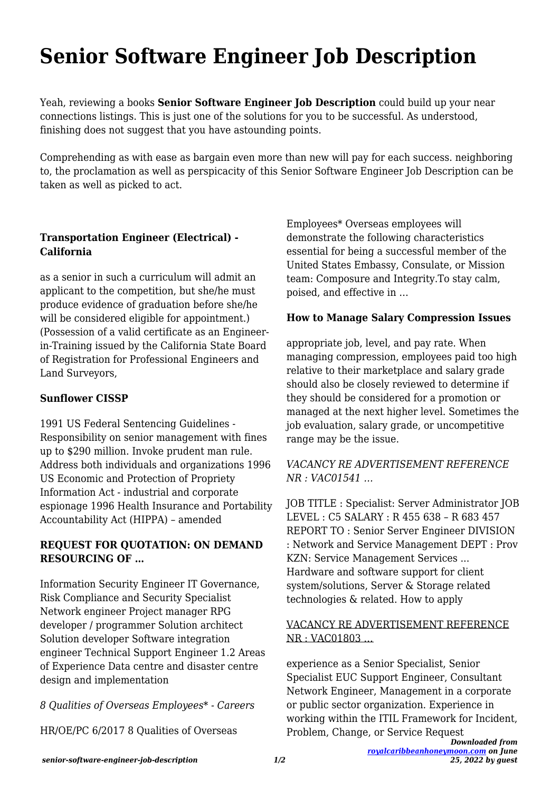# **Senior Software Engineer Job Description**

Yeah, reviewing a books **Senior Software Engineer Job Description** could build up your near connections listings. This is just one of the solutions for you to be successful. As understood, finishing does not suggest that you have astounding points.

Comprehending as with ease as bargain even more than new will pay for each success. neighboring to, the proclamation as well as perspicacity of this Senior Software Engineer Job Description can be taken as well as picked to act.

# **Transportation Engineer (Electrical) - California**

as a senior in such a curriculum will admit an applicant to the competition, but she/he must produce evidence of graduation before she/he will be considered eligible for appointment.) (Possession of a valid certificate as an Engineerin-Training issued by the California State Board of Registration for Professional Engineers and Land Surveyors,

## **Sunflower CISSP**

1991 US Federal Sentencing Guidelines - Responsibility on senior management with fines up to \$290 million. Invoke prudent man rule. Address both individuals and organizations 1996 US Economic and Protection of Propriety Information Act - industrial and corporate espionage 1996 Health Insurance and Portability Accountability Act (HIPPA) – amended

## **REQUEST FOR QUOTATION: ON DEMAND RESOURCING OF …**

Information Security Engineer IT Governance, Risk Compliance and Security Specialist Network engineer Project manager RPG developer / programmer Solution architect Solution developer Software integration engineer Technical Support Engineer 1.2 Areas of Experience Data centre and disaster centre design and implementation

*8 Qualities of Overseas Employees\* - Careers*

HR/OE/PC 6/2017 8 Qualities of Overseas

Employees\* Overseas employees will demonstrate the following characteristics essential for being a successful member of the United States Embassy, Consulate, or Mission team: Composure and Integrity.To stay calm, poised, and effective in …

# **How to Manage Salary Compression Issues**

appropriate job, level, and pay rate. When managing compression, employees paid too high relative to their marketplace and salary grade should also be closely reviewed to determine if they should be considered for a promotion or managed at the next higher level. Sometimes the job evaluation, salary grade, or uncompetitive range may be the issue.

## *VACANCY RE ADVERTISEMENT REFERENCE NR : VAC01541 …*

JOB TITLE : Specialist: Server Administrator JOB LEVEL : C5 SALARY : R 455 638 – R 683 457 REPORT TO : Senior Server Engineer DIVISION : Network and Service Management DEPT : Prov KZN: Service Management Services ... Hardware and software support for client system/solutions, Server & Storage related technologies & related. How to apply

## VACANCY RE ADVERTISEMENT REFERENCE NR : VAC01803 …

experience as a Senior Specialist, Senior Specialist EUC Support Engineer, Consultant Network Engineer, Management in a corporate or public sector organization. Experience in working within the ITIL Framework for Incident, Problem, Change, or Service Request